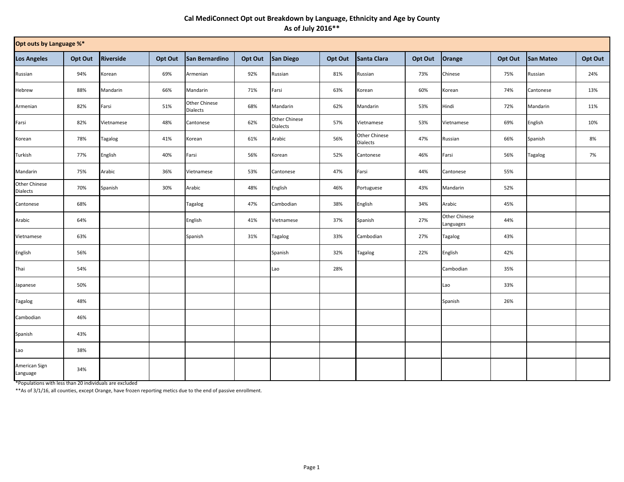## **Cal MediConnect Opt out Breakdown by Language, Ethnicity and Age by County As of July 2016\*\***

| Opt outs by Language %*   |         |            |         |                                  |         |                           |         |                                         |         |                            |         |                |         |
|---------------------------|---------|------------|---------|----------------------------------|---------|---------------------------|---------|-----------------------------------------|---------|----------------------------|---------|----------------|---------|
| <b>Los Angeles</b>        | Opt Out | Riverside  | Opt Out | San Bernardino                   | Opt Out | San Diego                 | Opt Out | Santa Clara                             | Opt Out | Orange                     | Opt Out | San Mateo      | Opt Out |
| Russian                   | 94%     | Korean     | 69%     | Armenian                         | 92%     | Russian                   | 81%     | Russian                                 | 73%     | Chinese                    | 75%     | Russian        | 24%     |
| Hebrew                    | 88%     | Mandarin   | 66%     | Mandarin                         | 71%     | Farsi                     | 63%     | Korean                                  | 60%     | Korean                     | 74%     | Cantonese      | 13%     |
| Armenian                  | 82%     | Farsi      | 51%     | Other Chinese<br><b>Dialects</b> | 68%     | Mandarin                  | 62%     | Mandarin                                | 53%     | Hindi                      | 72%     | Mandarin       | 11%     |
| Farsi                     | 82%     | Vietnamese | 48%     | Cantonese                        | 62%     | Other Chinese<br>Dialects | 57%     | Vietnamese                              | 53%     | Vietnamese                 | 69%     | English        | 10%     |
| Korean                    | 78%     | Tagalog    | 41%     | Korean                           | 61%     | Arabic                    | 56%     | <b>Other Chinese</b><br><b>Dialects</b> | 47%     | Russian                    | 66%     | Spanish        | 8%      |
| Turkish                   | 77%     | English    | 40%     | Farsi                            | 56%     | Korean                    | 52%     | Cantonese                               | 46%     | Farsi                      | 56%     | <b>Tagalog</b> | 7%      |
| Mandarin                  | 75%     | Arabic     | 36%     | Vietnamese                       | 53%     | Cantonese                 | 47%     | Farsi                                   | 44%     | Cantonese                  | 55%     |                |         |
| Other Chinese<br>Dialects | 70%     | Spanish    | 30%     | Arabic                           | 48%     | English                   | 46%     | Portuguese                              | 43%     | Mandarin                   | 52%     |                |         |
| Cantonese                 | 68%     |            |         | Tagalog                          | 47%     | Cambodian                 | 38%     | English                                 | 34%     | Arabic                     | 45%     |                |         |
| Arabic                    | 64%     |            |         | English                          | 41%     | Vietnamese                | 37%     | Spanish                                 | 27%     | Other Chinese<br>Languages | 44%     |                |         |
| Vietnamese                | 63%     |            |         | Spanish                          | 31%     | Tagalog                   | 33%     | Cambodian                               | 27%     | Tagalog                    | 43%     |                |         |
| English                   | 56%     |            |         |                                  |         | Spanish                   | 32%     | Tagalog                                 | 22%     | English                    | 42%     |                |         |
| Thai                      | 54%     |            |         |                                  |         | Lao                       | 28%     |                                         |         | Cambodian                  | 35%     |                |         |
| Japanese                  | 50%     |            |         |                                  |         |                           |         |                                         |         | Lao                        | 33%     |                |         |
| Tagalog                   | 48%     |            |         |                                  |         |                           |         |                                         |         | Spanish                    | 26%     |                |         |
| Cambodian                 | 46%     |            |         |                                  |         |                           |         |                                         |         |                            |         |                |         |
| Spanish                   | 43%     |            |         |                                  |         |                           |         |                                         |         |                            |         |                |         |
| Lao                       | 38%     |            |         |                                  |         |                           |         |                                         |         |                            |         |                |         |
| American Sign<br>Language | 34%     |            |         |                                  |         |                           |         |                                         |         |                            |         |                |         |

\*Populations with less than 20 individuals are excluded

\*\*As of 3/1/16, all counties, except Orange, have frozen reporting metics due to the end of passive enrollment.